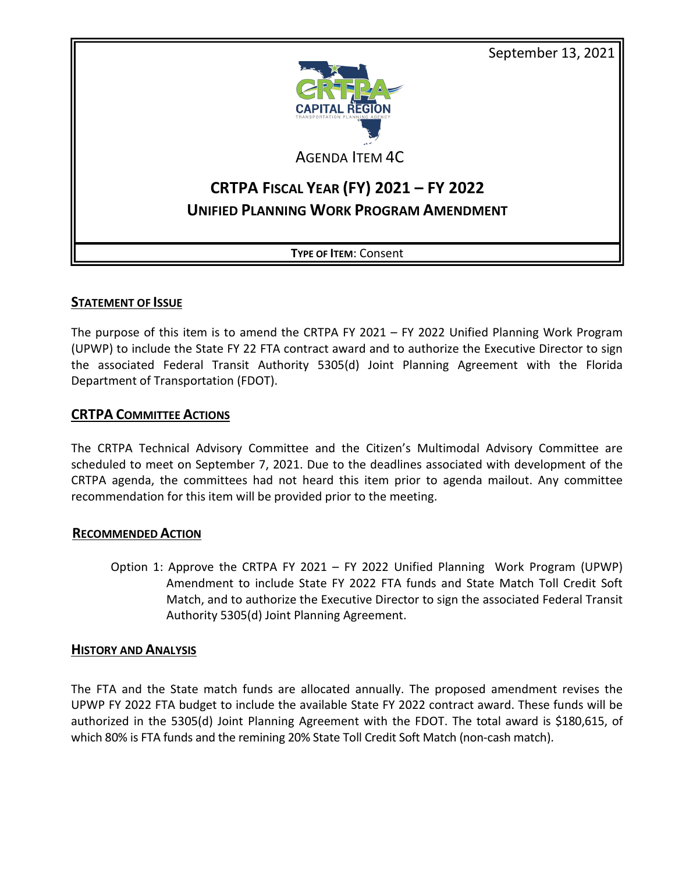September 13, 2021



AGENDA ITEM 4C

# **CRTPA FISCAL YEAR (FY) 2021 – FY 2022 UNIFIED PLANNING WORK PROGRAM AMENDMENT**

**TYPE OF ITEM**: Consent

# **STATEMENT OF ISSUE**

The purpose of this item is to amend the CRTPA FY 2021 – FY 2022 Unified Planning Work Program (UPWP) to include the State FY 22 FTA contract award and to authorize the Executive Director to sign the associated Federal Transit Authority 5305(d) Joint Planning Agreement with the Florida Department of Transportation (FDOT).

### **CRTPA COMMITTEE ACTIONS**

The CRTPA Technical Advisory Committee and the Citizen's Multimodal Advisory Committee are scheduled to meet on September 7, 2021. Due to the deadlines associated with development of the CRTPA agenda, the committees had not heard this item prior to agenda mailout. Any committee recommendation for this item will be provided prior to the meeting.

#### **RECOMMENDED ACTION**

Option 1: Approve the CRTPA FY 2021 – FY 2022 Unified Planning Work Program (UPWP) Amendment to include State FY 2022 FTA funds and State Match Toll Credit Soft Match, and to authorize the Executive Director to sign the associated Federal Transit Authority 5305(d) Joint Planning Agreement.

#### **HISTORY AND ANALYSIS**

The FTA and the State match funds are allocated annually. The proposed amendment revises the UPWP FY 2022 FTA budget to include the available State FY 2022 contract award. These funds will be authorized in the 5305(d) Joint Planning Agreement with the FDOT. The total award is \$180,615, of which 80% is FTA funds and the remining 20% State Toll Credit Soft Match (non-cash match).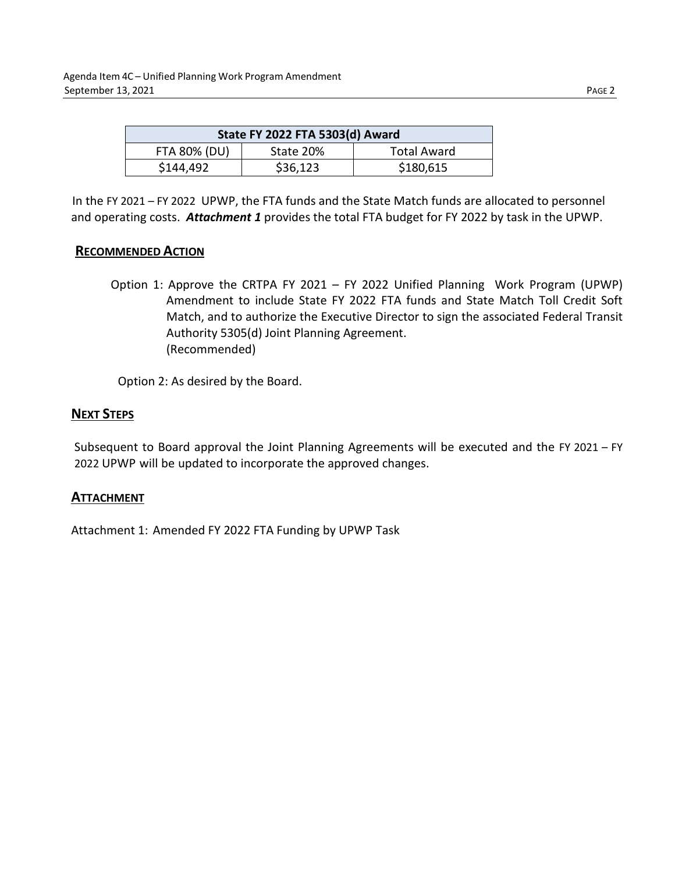| State FY 2022 FTA 5303(d) Award |           |                    |  |  |  |  |  |  |  |
|---------------------------------|-----------|--------------------|--|--|--|--|--|--|--|
| <b>FTA 80% (DU)</b>             | State 20% | <b>Total Award</b> |  |  |  |  |  |  |  |
| \$144,492                       | \$36,123  | \$180,615          |  |  |  |  |  |  |  |

In the FY 2021 – FY 2022 UPWP, the FTA funds and the State Match funds are allocated to personnel and operating costs. *Attachment 1* provides the total FTA budget for FY 2022 by task in the UPWP.

# **RECOMMENDED ACTION**

Option 1: Approve the CRTPA FY 2021 – FY 2022 Unified Planning Work Program (UPWP) Amendment to include State FY 2022 FTA funds and State Match Toll Credit Soft Match, and to authorize the Executive Director to sign the associated Federal Transit Authority 5305(d) Joint Planning Agreement. (Recommended)

Option 2: As desired by the Board.

# **NEXT STEPS**

Subsequent to Board approval the Joint Planning Agreements will be executed and the FY 2021 – FY 2022 UPWP will be updated to incorporate the approved changes.

# **ATTACHMENT**

Attachment 1: Amended FY 2022 FTA Funding by UPWP Task